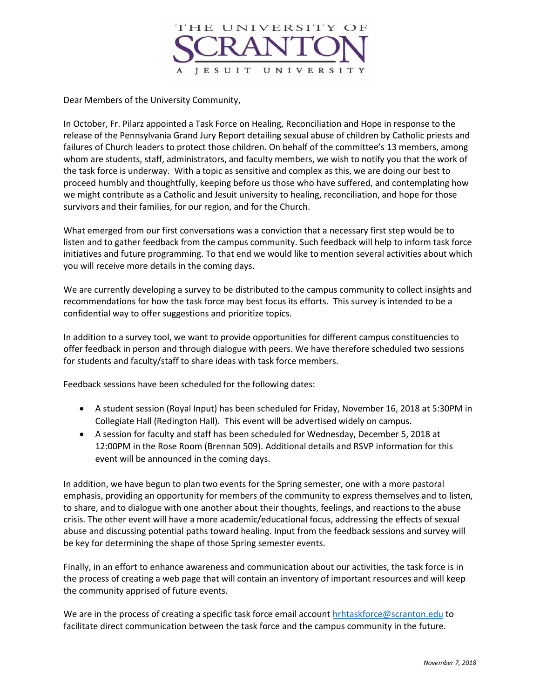

Dear Members of the University Community,

In October, Fr. Pilarz appointed a Task Force on Healing, Reconciliation and Hope in response to the release of the Pennsylvania Grand Jury Report detailing sexual abuse of children by Catholic priests and failures of Church leaders to protect those children. On behalf of the committee's 13 members, among whom are students, staff, administrators, and faculty members, we wish to notify you that the work of the task force is underway. With a topic as sensitive and complex as this, we are doing our best to proceed humbly and thoughtfully, keeping before us those who have suffered, and contemplating how we might contribute as a Catholic and Jesuit university to healing, reconciliation, and hope for those survivors and their families, for our region, and for the Church.

What emerged from our first conversations was a conviction that a necessary first step would be to listen and to gather feedback from the campus community. Such feedback will help to inform task force initiatives and future programming. To that end we would like to mention several activities about which you will receive more details in the coming days.

We are currently developing a survey to be distributed to the campus community to collect insights and recommendations for how the task force may best focus its efforts. This survey is intended to be a confidential way to offer suggestions and prioritize topics.

In addition to a survey tool, we want to provide opportunities for different campus constituencies to offer feedback in person and through dialogue with peers. We have therefore scheduled two sessions for students and faculty/staff to share ideas with task force members.

Feedback sessions have been scheduled for the following dates:

- A student session (Royal Input) has been scheduled for Friday, November 16, 2018 at 5:30PM in Collegiate Hall (Redington Hall). This event will be advertised widely on campus.
- A session for faculty and staff has been scheduled for Wednesday, December 5, 2018 at 12:00PM in the Rose Room (Brennan 509). Additional details and RSVP information for this event will be announced in the coming days.

In addition, we have begun to plan two events for the Spring semester, one with a more pastoral emphasis, providing an opportunity for members of the community to express themselves and to listen, to share, and to dialogue with one another about their thoughts, feelings, and reactions to the abuse crisis. The other event will have a more academic/educational focus, addressing the effects of sexual abuse and discussing potential paths toward healing. Input from the feedback sessions and survey will be key for determining the shape of those Spring semester events.

Finally, in an effort to enhance awareness and communication about our activities, the task force is in the process of creating a web page that will contain an inventory of important resources and will keep the community apprised of future events.

We are in the process of creating a specific task force email account [hrhtaskforce@scranton.edu](mailto:hrhtaskforce@scranton.edu) to facilitate direct communication between the task force and the campus community in the future.